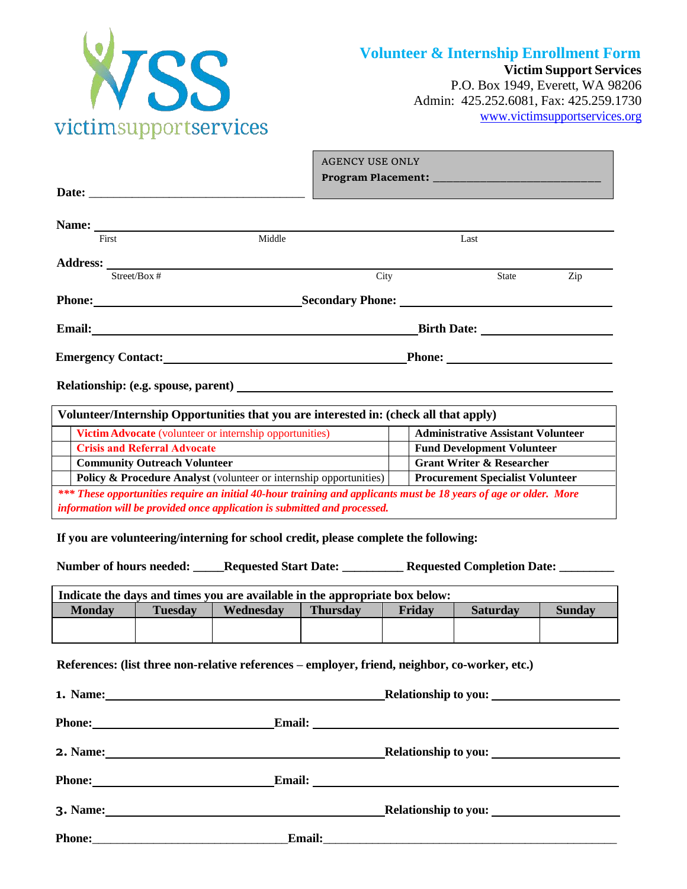

**Victim Support Services**

P.O. Box 1949, Everett, WA 98206 Admin: 425.252.6081, Fax: 425.259.1730 www.victimsupportservices.org

|                                                 | <b>AGENCY USE ONLY</b> |                     |                                     |
|-------------------------------------------------|------------------------|---------------------|-------------------------------------|
|                                                 |                        |                     |                                     |
|                                                 |                        |                     |                                     |
|                                                 |                        |                     |                                     |
|                                                 |                        |                     |                                     |
| Middle                                          |                        | Last                |                                     |
|                                                 |                        |                     |                                     |
|                                                 | City                   | State               | Zip                                 |
|                                                 |                        |                     |                                     |
|                                                 |                        |                     |                                     |
| Emergency Contact:<br><u>Emergency Contact:</u> |                        |                     |                                     |
|                                                 |                        |                     |                                     |
|                                                 |                        | Email: <u>Email</u> | Relationship: (e.g. spouse, parent) |

|                                                                           | Volunteer/Internship Opportunities that you are interested in: (check all that apply)                                      |                                           |  |  |  |
|---------------------------------------------------------------------------|----------------------------------------------------------------------------------------------------------------------------|-------------------------------------------|--|--|--|
|                                                                           | Victim Advocate (volunteer or internship opportunities)                                                                    | <b>Administrative Assistant Volunteer</b> |  |  |  |
|                                                                           | <b>Crisis and Referral Advocate</b>                                                                                        | <b>Fund Development Volunteer</b>         |  |  |  |
|                                                                           | <b>Community Outreach Volunteer</b>                                                                                        | <b>Grant Writer &amp; Researcher</b>      |  |  |  |
|                                                                           | <b>Policy &amp; Procedure Analyst</b> (volunteer or internship opportunities)  <br><b>Procurement Specialist Volunteer</b> |                                           |  |  |  |
|                                                                           | *** These opportunities require an initial 40-hour training and applicants must be 18 years of age or older. More          |                                           |  |  |  |
| information will be provided once application is submitted and processed. |                                                                                                                            |                                           |  |  |  |

**If you are volunteering/interning for school credit, please complete the following:**

**Number of hours needed: \_\_\_\_\_Requested Start Date: \_\_\_\_\_\_\_\_\_\_ Requested Completion Date: \_\_\_\_\_\_\_\_\_**

| Indicate the days and times you are available in the appropriate box below: |           |                 |        |                 |               |
|-----------------------------------------------------------------------------|-----------|-----------------|--------|-----------------|---------------|
| <b>Tuesday</b>                                                              | Wednesdav | <b>Thursday</b> | Fridav | <b>Saturday</b> | <b>Sunday</b> |
|                                                                             |           |                 |        |                 |               |
|                                                                             |           |                 |        |                 |               |

**References: (list three non-relative references – employer, friend, neighbor, co-worker, etc.)**

|               |               | Relationship to you:                                                                                                                                                                                                               |  |
|---------------|---------------|------------------------------------------------------------------------------------------------------------------------------------------------------------------------------------------------------------------------------------|--|
| <b>Phone:</b> | <b>Email:</b> | <u> 1989 - Johann Barn, mars et al. (b. 1989)</u>                                                                                                                                                                                  |  |
|               |               |                                                                                                                                                                                                                                    |  |
|               |               |                                                                                                                                                                                                                                    |  |
|               |               |                                                                                                                                                                                                                                    |  |
|               |               | Email: <u>Email:</u> All and the set of the set of the set of the set of the set of the set of the set of the set of the set of the set of the set of the set of the set of the set of the set of the set of the set of the set of |  |